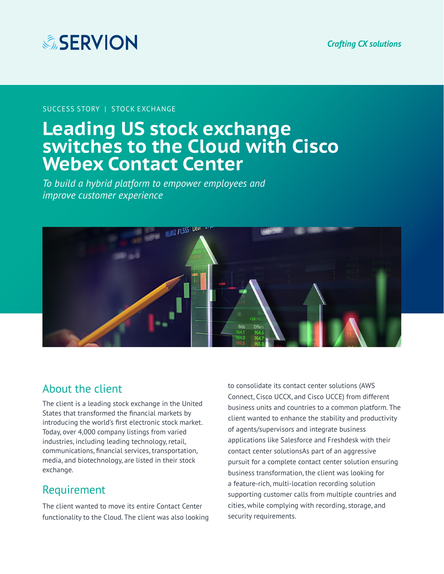

SUCCESS STORY | STOCK EXCHANGE

# **Leading US stock exchange switches to the Cloud with Cisco Webex Contact Center**

*To build a hybrid platform to empower employees and improve customer experience*



### About the client

The client is a leading stock exchange in the United States that transformed the financial markets by introducing the world's first electronic stock market. Today, over 4,000 company listings from varied industries, including leading technology, retail, communications, financial services, transportation, media, and biotechnology, are listed in their stock exchange.

### Requirement

The client wanted to move its entire Contact Center functionality to the Cloud. The client was also looking to consolidate its contact center solutions (AWS Connect, Cisco UCCX, and Cisco UCCE) from different business units and countries to a common platform. The client wanted to enhance the stability and productivity of agents/supervisors and integrate business applications like Salesforce and Freshdesk with their contact center solutionsAs part of an aggressive pursuit for a complete contact center solution ensuring business transformation, the client was looking for a feature-rich, multi-location recording solution supporting customer calls from multiple countries and cities, while complying with recording, storage, and security requirements.